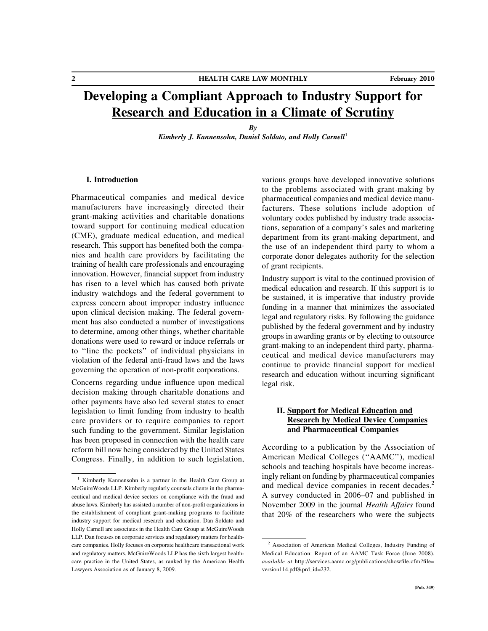# Developing a Compliant Approach to Industry Support for Research and Education in a Climate of Scrutiny

By Kimberly J. Kannensohn, Daniel Soldato, and Holly Carnell<sup>1</sup>

# I. Introduction

Pharmaceutical companies and medical device manufacturers have increasingly directed their grant-making activities and charitable donations toward support for continuing medical education (CME), graduate medical education, and medical research. This support has benefited both the companies and health care providers by facilitating the training of health care professionals and encouraging innovation. However, financial support from industry has risen to a level which has caused both private industry watchdogs and the federal government to express concern about improper industry influence upon clinical decision making. The federal government has also conducted a number of investigations to determine, among other things, whether charitable donations were used to reward or induce referrals or to ''line the pockets'' of individual physicians in violation of the federal anti-fraud laws and the laws governing the operation of non-profit corporations.

Concerns regarding undue influence upon medical decision making through charitable donations and other payments have also led several states to enact legislation to limit funding from industry to health care providers or to require companies to report such funding to the government. Similar legislation has been proposed in connection with the health care reform bill now being considered by the United States Congress. Finally, in addition to such legislation,

various groups have developed innovative solutions to the problems associated with grant-making by pharmaceutical companies and medical device manufacturers. These solutions include adoption of voluntary codes published by industry trade associations, separation of a company's sales and marketing department from its grant-making department, and the use of an independent third party to whom a corporate donor delegates authority for the selection of grant recipients.

Industry support is vital to the continued provision of medical education and research. If this support is to be sustained, it is imperative that industry provide funding in a manner that minimizes the associated legal and regulatory risks. By following the guidance published by the federal government and by industry groups in awarding grants or by electing to outsource grant-making to an independent third party, pharmaceutical and medical device manufacturers may continue to provide financial support for medical research and education without incurring significant legal risk.

# II. Support for Medical Education and Research by Medical Device Companies and Pharmaceutical Companies

According to a publication by the Association of American Medical Colleges (''AAMC''), medical schools and teaching hospitals have become increasingly reliant on funding by pharmaceutical companies and medical device companies in recent decades.<sup>2</sup> A survey conducted in 2006–07 and published in November 2009 in the journal Health Affairs found that 20% of the researchers who were the subjects

<sup>&</sup>lt;sup>1</sup> Kimberly Kannensohn is a partner in the Health Care Group at McGuireWoods LLP. Kimberly regularly counsels clients in the pharmaceutical and medical device sectors on compliance with the fraud and abuse laws. Kimberly has assisted a number of non-profit organizations in the establishment of compliant grant-making programs to facilitate industry support for medical research and education. Dan Soldato and Holly Carnell are associates in the Health Care Group at McGuireWoods LLP. Dan focuses on corporate services and regulatory matters for healthcare companies. Holly focuses on corporate healthcare transactional work and regulatory matters. McGuireWoods LLP has the sixth largest healthcare practice in the United States, as ranked by the American Health Lawyers Association as of January 8, 2009.

<sup>2</sup> Association of American Medical Colleges, Industry Funding of Medical Education: Report of an AAMC Task Force (June 2008), available at http://services.aamc.org/publications/showfile.cfm?file= version114.pdf&prd\_id=232.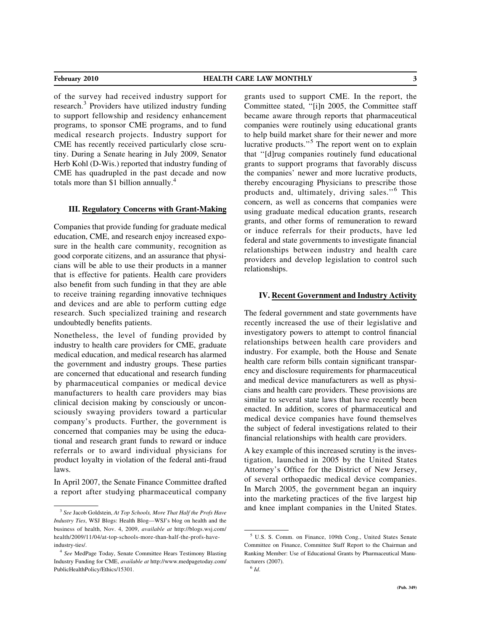of the survey had received industry support for research.<sup>3</sup> Providers have utilized industry funding to support fellowship and residency enhancement programs, to sponsor CME programs, and to fund medical research projects. Industry support for CME has recently received particularly close scrutiny. During a Senate hearing in July 2009, Senator Herb Kohl (D-Wis.) reported that industry funding of CME has quadrupled in the past decade and now totals more than \$1 billion annually.<sup>4</sup>

### III. Regulatory Concerns with Grant-Making

Companies that provide funding for graduate medical education, CME, and research enjoy increased exposure in the health care community, recognition as good corporate citizens, and an assurance that physicians will be able to use their products in a manner that is effective for patients. Health care providers also benefit from such funding in that they are able to receive training regarding innovative techniques and devices and are able to perform cutting edge research. Such specialized training and research undoubtedly benefits patients.

Nonetheless, the level of funding provided by industry to health care providers for CME, graduate medical education, and medical research has alarmed the government and industry groups. These parties are concerned that educational and research funding by pharmaceutical companies or medical device manufacturers to health care providers may bias clinical decision making by consciously or unconsciously swaying providers toward a particular company's products. Further, the government is concerned that companies may be using the educational and research grant funds to reward or induce referrals or to award individual physicians for product loyalty in violation of the federal anti-fraud laws.

In April 2007, the Senate Finance Committee drafted a report after studying pharmaceutical company grants used to support CME. In the report, the Committee stated, ''[i]n 2005, the Committee staff became aware through reports that pharmaceutical companies were routinely using educational grants to help build market share for their newer and more lucrative products."<sup>5</sup> The report went on to explain that ''[d]rug companies routinely fund educational grants to support programs that favorably discuss the companies' newer and more lucrative products, thereby encouraging Physicians to prescribe those products and, ultimately, driving sales."<sup>6</sup> This concern, as well as concerns that companies were using graduate medical education grants, research grants, and other forms of remuneration to reward or induce referrals for their products, have led federal and state governments to investigate financial relationships between industry and health care providers and develop legislation to control such relationships.

### IV. Recent Government and Industry Activity

The federal government and state governments have recently increased the use of their legislative and investigatory powers to attempt to control financial relationships between health care providers and industry. For example, both the House and Senate health care reform bills contain significant transparency and disclosure requirements for pharmaceutical and medical device manufacturers as well as physicians and health care providers. These provisions are similar to several state laws that have recently been enacted. In addition, scores of pharmaceutical and medical device companies have found themselves the subject of federal investigations related to their financial relationships with health care providers.

A key example of this increased scrutiny is the investigation, launched in 2005 by the United States Attorney's Office for the District of New Jersey, of several orthopaedic medical device companies. In March 2005, the government began an inquiry into the marketing practices of the five largest hip and knee implant companies in the United States.

 $3$  See Jacob Goldstein, At Top Schools, More That Half the Profs Have Industry Ties, WSJ Blogs: Health Blog—WSJ's blog on health and the business of health, Nov. 4, 2009, available at http://blogs.wsj.com/ health/2009/11/04/at-top-schools-more-than-half-the-profs-haveindustry-ties/.

<sup>&</sup>lt;sup>4</sup> See MedPage Today, Senate Committee Hears Testimony Blasting Industry Funding for CME, available at http://www.medpagetoday.com/ PublicHealthPolicy/Ethics/15301.

<sup>5</sup> U.S. S. Comm. on Finance, 109th Cong., United States Senate Committee on Finance, Committee Staff Report to the Chairman and Ranking Member: Use of Educational Grants by Pharmaceutical Manufacturers (2007).

 $^6$  Id.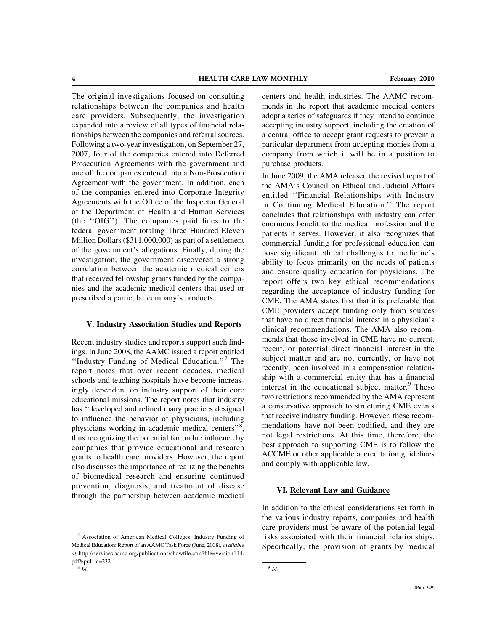4 HEALTH CARE LAW MONTHLY February 2010

The original investigations focused on consulting relationships between the companies and health care providers. Subsequently, the investigation expanded into a review of all types of financial relationships between the companies and referral sources. Following a two-year investigation, on September 27, 2007, four of the companies entered into Deferred Prosecution Agreements with the government and one of the companies entered into a Non-Prosecution Agreement with the government. In addition, each of the companies entered into Corporate Integrity Agreements with the Office of the Inspector General of the Department of Health and Human Services (the ''OIG''). The companies paid fines to the federal government totaling Three Hundred Eleven Million Dollars (\$311,000,000) as part of a settlement of the government's allegations. Finally, during the investigation, the government discovered a strong correlation between the academic medical centers that received fellowship grants funded by the companies and the academic medical centers that used or prescribed a particular company's products.

# V. Industry Association Studies and Reports

Recent industry studies and reports support such findings. In June 2008, the AAMC issued a report entitled "Industry Funding of Medical Education."<sup>7</sup> The report notes that over recent decades, medical schools and teaching hospitals have become increasingly dependent on industry support of their core educational missions. The report notes that industry has ''developed and refined many practices designed to influence the behavior of physicians, including physicians working in academic medical centers"<sup>8</sup>, thus recognizing the potential for undue influence by companies that provide educational and research grants to health care providers. However, the report also discusses the importance of realizing the benefits of biomedical research and ensuring continued prevention, diagnosis, and treatment of disease through the partnership between academic medical

centers and health industries. The AAMC recommends in the report that academic medical centers adopt a series of safeguards if they intend to continue accepting industry support, including the creation of a central office to accept grant requests to prevent a particular department from accepting monies from a company from which it will be in a position to purchase products.

In June 2009, the AMA released the revised report of the AMA's Council on Ethical and Judicial Affairs entitled ''Financial Relationships with Industry in Continuing Medical Education.'' The report concludes that relationships with industry can offer enormous benefit to the medical profession and the patients it serves. However, it also recognizes that commercial funding for professional education can pose significant ethical challenges to medicine's ability to focus primarily on the needs of patients and ensure quality education for physicians. The report offers two key ethical recommendations regarding the acceptance of industry funding for CME. The AMA states first that it is preferable that CME providers accept funding only from sources that have no direct financial interest in a physician's clinical recommendations. The AMA also recommends that those involved in CME have no current, recent, or potential direct financial interest in the subject matter and are not currently, or have not recently, been involved in a compensation relationship with a commercial entity that has a financial interest in the educational subject matter.<sup>9</sup> These two restrictions recommended by the AMA represent a conservative approach to structuring CME events that receive industry funding. However, these recommendations have not been codified, and they are not legal restrictions. At this time, therefore, the best approach to supporting CME is to follow the ACCME or other applicable accreditation guidelines and comply with applicable law.

# VI. Relevant Law and Guidance

In addition to the ethical considerations set forth in the various industry reports, companies and health care providers must be aware of the potential legal risks associated with their financial relationships. Specifically, the provision of grants by medical

<sup>7</sup> Association of American Medical Colleges, Industry Funding of Medical Education: Report of an AAMC Task Force (June, 2008), available at http://services.aamc.org/publications/showfile.cfm?file=version114. pdf&prd\_id=232.

 $9$  Id.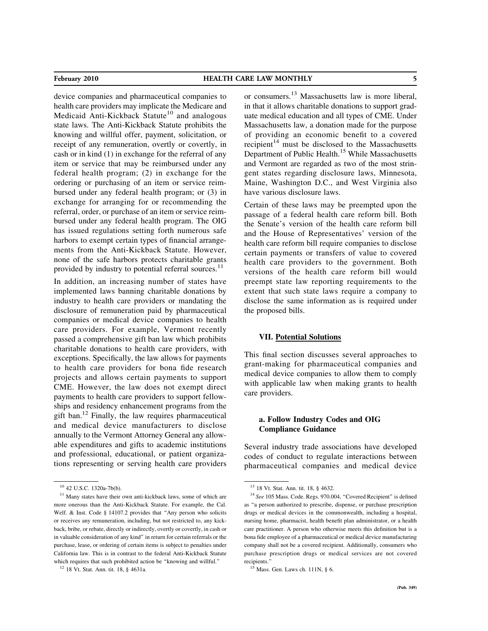device companies and pharmaceutical companies to health care providers may implicate the Medicare and Medicaid Anti-Kickback Statute<sup>10</sup> and analogous state laws. The Anti-Kickback Statute prohibits the knowing and willful offer, payment, solicitation, or receipt of any remuneration, overtly or covertly, in cash or in kind (1) in exchange for the referral of any item or service that may be reimbursed under any federal health program; (2) in exchange for the ordering or purchasing of an item or service reimbursed under any federal health program; or (3) in exchange for arranging for or recommending the referral, order, or purchase of an item or service reimbursed under any federal health program. The OIG has issued regulations setting forth numerous safe harbors to exempt certain types of financial arrangements from the Anti-Kickback Statute. However, none of the safe harbors protects charitable grants provided by industry to potential referral sources.<sup>11</sup>

In addition, an increasing number of states have implemented laws banning charitable donations by industry to health care providers or mandating the disclosure of remuneration paid by pharmaceutical companies or medical device companies to health care providers. For example, Vermont recently passed a comprehensive gift ban law which prohibits charitable donations to health care providers, with exceptions. Specifically, the law allows for payments to health care providers for bona fide research projects and allows certain payments to support CME. However, the law does not exempt direct payments to health care providers to support fellowships and residency enhancement programs from the gift ban.<sup>12</sup> Finally, the law requires pharmaceutical and medical device manufacturers to disclose annually to the Vermont Attorney General any allowable expenditures and gifts to academic institutions and professional, educational, or patient organizations representing or serving health care providers or consumers.<sup>13</sup> Massachusetts law is more liberal, in that it allows charitable donations to support graduate medical education and all types of CME. Under Massachusetts law, a donation made for the purpose of providing an economic benefit to a covered recipient<sup>14</sup> must be disclosed to the Massachusetts Department of Public Health.<sup>15</sup> While Massachusetts and Vermont are regarded as two of the most stringent states regarding disclosure laws, Minnesota, Maine, Washington D.C., and West Virginia also have various disclosure laws.

Certain of these laws may be preempted upon the passage of a federal health care reform bill. Both the Senate's version of the health care reform bill and the House of Representatives' version of the health care reform bill require companies to disclose certain payments or transfers of value to covered health care providers to the government. Both versions of the health care reform bill would preempt state law reporting requirements to the extent that such state laws require a company to disclose the same information as is required under the proposed bills.

# VII. Potential Solutions

This final section discusses several approaches to grant-making for pharmaceutical companies and medical device companies to allow them to comply with applicable law when making grants to health care providers.

# a. Follow Industry Codes and OIG Compliance Guidance

Several industry trade associations have developed codes of conduct to regulate interactions between pharmaceutical companies and medical device

<sup>10</sup> 42 U.S.C. 1320a-7b(b).

<sup>&</sup>lt;sup>11</sup> Many states have their own anti-kickback laws, some of which are more onerous than the Anti-Kickback Statute. For example, the Cal. Welf. & Inst. Code § 14107.2 provides that "Any person who solicits or receives any remuneration, including, but not restricted to, any kickback, bribe, or rebate, directly or indirectly, overtly or covertly, in cash or in valuable consideration of any kind'' in return for certain referrals or the purchase, lease, or ordering of certain items is subject to penalties under California law. This is in contrast to the federal Anti-Kickback Statute which requires that such prohibited action be "knowing and willful."

<sup>12</sup> 18 Vt. Stat. Ann. tit. 18, § 4631a.

<sup>13</sup> 18 Vt. Stat. Ann. tit. 18, § 4632.

<sup>&</sup>lt;sup>14</sup> See 105 Mass. Code. Regs. 970.004, "Covered Recipient" is defined as ''a person authorized to prescribe, dispense, or purchase prescription drugs or medical devices in the commonwealth, including a hospital, nursing home, pharmacist, health benefit plan administrator, or a health care practitioner. A person who otherwise meets this definition but is a bona fide employee of a pharmaceutical or medical device manufacturing company shall not be a covered recipient. Additionally, consumers who purchase prescription drugs or medical services are not covered recipients.''

<sup>15</sup> Mass. Gen. Laws ch. 111N, § 6.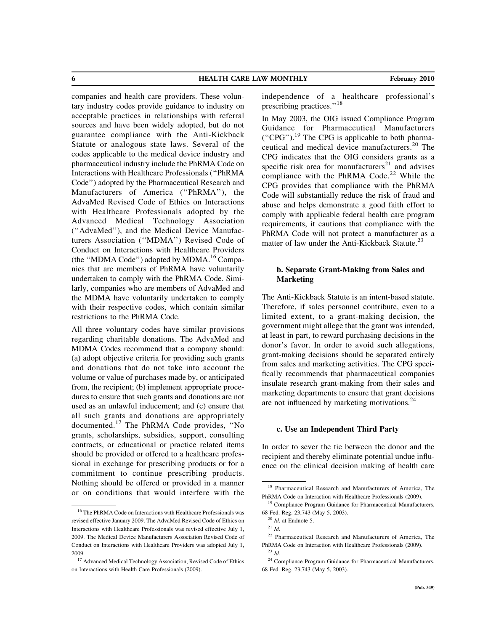6 HEALTH CARE LAW MONTHLY February 2010

companies and health care providers. These voluntary industry codes provide guidance to industry on acceptable practices in relationships with referral sources and have been widely adopted, but do not guarantee compliance with the Anti-Kickback Statute or analogous state laws. Several of the codes applicable to the medical device industry and pharmaceutical industry include the PhRMA Code on Interactions with Healthcare Professionals (''PhRMA Code'') adopted by the Pharmaceutical Research and Manufacturers of America (''PhRMA''), the AdvaMed Revised Code of Ethics on Interactions with Healthcare Professionals adopted by the Advanced Medical Technology Association (''AdvaMed''), and the Medical Device Manufacturers Association (''MDMA'') Revised Code of Conduct on Interactions with Healthcare Providers (the "MDMA Code") adopted by MDMA.<sup>16</sup> Companies that are members of PhRMA have voluntarily undertaken to comply with the PhRMA Code. Similarly, companies who are members of AdvaMed and the MDMA have voluntarily undertaken to comply with their respective codes, which contain similar restrictions to the PhRMA Code.

All three voluntary codes have similar provisions regarding charitable donations. The AdvaMed and MDMA Codes recommend that a company should: (a) adopt objective criteria for providing such grants and donations that do not take into account the volume or value of purchases made by, or anticipated from, the recipient; (b) implement appropriate procedures to ensure that such grants and donations are not used as an unlawful inducement; and (c) ensure that all such grants and donations are appropriately documented.<sup>17</sup> The PhRMA Code provides, ''No grants, scholarships, subsidies, support, consulting contracts, or educational or practice related items should be provided or offered to a healthcare professional in exchange for prescribing products or for a commitment to continue prescribing products. Nothing should be offered or provided in a manner or on conditions that would interfere with the

independence of a healthcare professional's prescribing practices.''<sup>18</sup>

In May 2003, the OIG issued Compliance Program Guidance for Pharmaceutical Manufacturers ("CPG").<sup>19</sup> The CPG is applicable to both pharmaceutical and medical device manufacturers.<sup>20</sup> The CPG indicates that the OIG considers grants as a specific risk area for manufacturers<sup>21</sup> and advises compliance with the PhRMA Code.<sup>22</sup> While the CPG provides that compliance with the PhRMA Code will substantially reduce the risk of fraud and abuse and helps demonstrate a good faith effort to comply with applicable federal health care program requirements, it cautions that compliance with the PhRMA Code will not protect a manufacturer as a matter of law under the Anti-Kickback Statute.<sup>23</sup>

# b. Separate Grant-Making from Sales and Marketing

The Anti-Kickback Statute is an intent-based statute. Therefore, if sales personnel contribute, even to a limited extent, to a grant-making decision, the government might allege that the grant was intended, at least in part, to reward purchasing decisions in the donor's favor. In order to avoid such allegations, grant-making decisions should be separated entirely from sales and marketing activities. The CPG specifically recommends that pharmaceutical companies insulate research grant-making from their sales and marketing departments to ensure that grant decisions are not influenced by marketing motivations.<sup>24</sup>

# c. Use an Independent Third Party

In order to sever the tie between the donor and the recipient and thereby eliminate potential undue influence on the clinical decision making of health care

<sup>16</sup> The PhRMA Code on Interactions with Healthcare Professionals was revised effective January 2009. The AdvaMed Revised Code of Ethics on Interactions with Healthcare Professionals was revised effective July 1, 2009. The Medical Device Manufacturers Association Revised Code of Conduct on Interactions with Healthcare Providers was adopted July 1, 2009.

<sup>&</sup>lt;sup>17</sup> Advanced Medical Technology Association, Revised Code of Ethics on Interactions with Health Care Professionals (2009).

<sup>18</sup> Pharmaceutical Research and Manufacturers of America, The PhRMA Code on Interaction with Healthcare Professionals (2009).

<sup>&</sup>lt;sup>19</sup> Compliance Program Guidance for Pharmaceutical Manufacturers, 68 Fed. Reg. 23,743 (May 5, 2003).

 $20$  *Id.* at Endnote 5.

 $^{21}$  *Id.* 

<sup>22</sup> Pharmaceutical Research and Manufacturers of America, The PhRMA Code on Interaction with Healthcare Professionals (2009).  $^{23}$   $\emph{Id}.$ 

<sup>24</sup> Compliance Program Guidance for Pharmaceutical Manufacturers, 68 Fed. Reg. 23,743 (May 5, 2003).